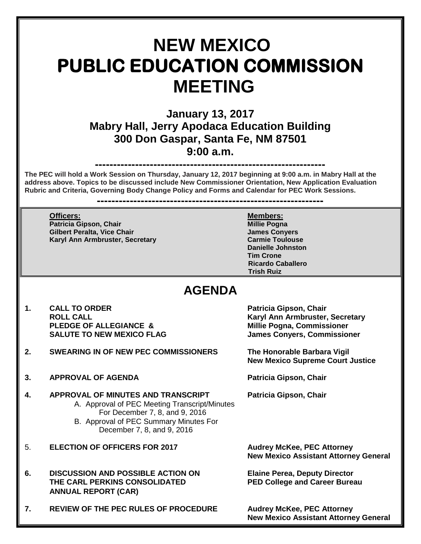# **NEW MEXICO PUBLIC EDUCATION COMMISSION MEETING**

**January 13, 2017 Mabry Hall, Jerry Apodaca Education Building 300 Don Gaspar, Santa Fe, NM 87501 9:00 a.m.**

## **---------------------------------------------------------------**

**The PEC will hold a Work Session on Thursday, January 12, 2017 beginning at 9:00 a.m. in Mabry Hall at the address above. Topics to be discussed include New Commissioner Orientation, New Application Evaluation Rubric and Criteria, Governing Body Change Policy and Forms and Calendar for PEC Work Sessions.** 

**--------------------------------------------------------------**

**Patricia Gipson, Chair Millie Pogna Gilbert Peralta, Vice Chair James Convers Karyl Ann Armbruster, Secretary <b>Carmid Carmid Toulouse** Carmie Toulouse

**Officers: Members: Danielle Johnston Tim Crone Ricardo Caballero Trish Ruiz**

## **AGENDA**

- **1. CALL TO ORDER Patricia Gipson, Chair** PLEDGE OF ALLEGIANCE & Millie Pogna, Commissioner **SALUTE TO NEW MEXICO FLAG James Conyers, Commissioner**
- **2. SWEARING IN OF NEW PEC COMMISSIONERS The Honorable Barbara Vigil**
- **3. APPROVAL OF AGENDA Patricia Gipson, Chair**
- **4. APPROVAL OF MINUTES AND TRANSCRIPT Patricia Gipson, Chair** A. Approval of PEC Meeting Transcript/Minutes For December 7, 8, and 9, 2016 B. Approval of PEC Summary Minutes For December 7, 8, and 9, 2016
- 5. **ELECTION OF OFFICERS FOR 2017 Audrey McKee, PEC Attorney**
- **6. DISCUSSION AND POSSIBLE ACTION ON Elaine Perea, Deputy Director THE CARL PERKINS CONSOLIDATED PED College and Career Bureau ANNUAL REPORT (CAR)**
- **7. REVIEW OF THE PEC RULES OF PROCEDURE Audrey McKee, PEC Attorney**

**ROLL CALL Karyl Ann Armbruster, Secretary** 

**New Mexico Supreme Court Justice**

**New Mexico Assistant Attorney General**

**New Mexico Assistant Attorney General**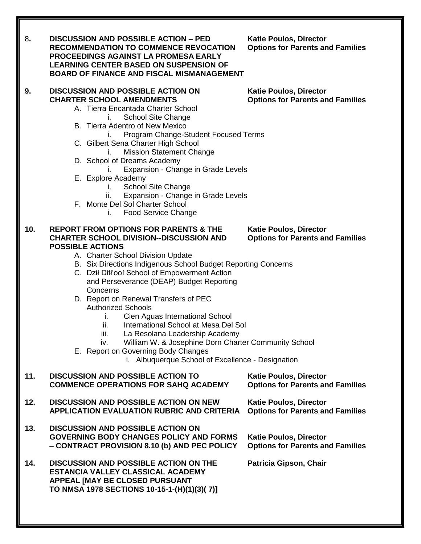| 8.  | <b>DISCUSSION AND POSSIBLE ACTION - PED</b><br><b>RECOMMENDATION TO COMMENCE REVOCATION</b><br><b>PROCEEDINGS AGAINST LA PROMESA EARLY</b><br><b>LEARNING CENTER BASED ON SUSPENSION OF</b><br><b>BOARD OF FINANCE AND FISCAL MISMANAGEMENT</b>                                                                                                                                                                                                                                                                                                                                                                                                                                                                 | <b>Katie Poulos, Director</b><br><b>Options for Parents and Families</b> |
|-----|-----------------------------------------------------------------------------------------------------------------------------------------------------------------------------------------------------------------------------------------------------------------------------------------------------------------------------------------------------------------------------------------------------------------------------------------------------------------------------------------------------------------------------------------------------------------------------------------------------------------------------------------------------------------------------------------------------------------|--------------------------------------------------------------------------|
| 9.  | <b>DISCUSSION AND POSSIBLE ACTION ON</b><br><b>CHARTER SCHOOL AMENDMENTS</b><br>A. Tierra Encantada Charter School<br><b>School Site Change</b><br>B. Tierra Adentro of New Mexico<br>Program Change-Student Focused Terms<br>C. Gilbert Sena Charter High School<br><b>Mission Statement Change</b><br>ı.<br>D. School of Dreams Academy<br>Expansion - Change in Grade Levels<br>E. Explore Academy<br><b>School Site Change</b><br>Τ.<br>Expansion - Change in Grade Levels<br>н.<br>F. Monte Del Sol Charter School<br><b>Food Service Change</b><br>Ι.                                                                                                                                                     | <b>Katie Poulos, Director</b><br><b>Options for Parents and Families</b> |
| 10. | <b>REPORT FROM OPTIONS FOR PARENTS &amp; THE</b><br><b>CHARTER SCHOOL DIVISION--DISCUSSION AND</b><br><b>POSSIBLE ACTIONS</b><br>A. Charter School Division Update<br>B. Six Directions Indigenous School Budget Reporting Concerns<br>C. Dził Ditł'ooí School of Empowerment Action<br>and Perseverance (DEAP) Budget Reporting<br>Concerns<br>D. Report on Renewal Transfers of PEC<br><b>Authorized Schools</b><br>Cien Aguas International School<br>L.<br>International School at Mesa Del Sol<br>ii.<br>La Resolana Leadership Academy<br>iii.<br>William W. & Josephine Dorn Charter Community School<br>IV.<br>E. Report on Governing Body Changes<br>i. Albuquerque School of Excellence - Designation | <b>Katie Poulos, Director</b><br><b>Options for Parents and Families</b> |
| 11. | <b>DISCUSSION AND POSSIBLE ACTION TO</b><br><b>COMMENCE OPERATIONS FOR SAHQ ACADEMY</b>                                                                                                                                                                                                                                                                                                                                                                                                                                                                                                                                                                                                                         | <b>Katie Poulos, Director</b><br><b>Options for Parents and Families</b> |
| 12. | <b>DISCUSSION AND POSSIBLE ACTION ON NEW</b><br><b>APPLICATION EVALUATION RUBRIC AND CRITERIA</b>                                                                                                                                                                                                                                                                                                                                                                                                                                                                                                                                                                                                               | <b>Katie Poulos, Director</b><br><b>Options for Parents and Families</b> |
| 13. | <b>DISCUSSION AND POSSIBLE ACTION ON</b><br><b>GOVERNING BODY CHANGES POLICY AND FORMS</b><br>- CONTRACT PROVISION 8.10 (b) AND PEC POLICY                                                                                                                                                                                                                                                                                                                                                                                                                                                                                                                                                                      | <b>Katie Poulos, Director</b><br><b>Options for Parents and Families</b> |
| 14. | <b>DISCUSSION AND POSSIBLE ACTION ON THE</b><br>ESTANCIA VALLEY CLASSICAL ACADEMY<br>APPEAL [MAY BE CLOSED PURSUANT<br>TO NMSA 1978 SECTIONS 10-15-1-(H)(1)(3)(7)]                                                                                                                                                                                                                                                                                                                                                                                                                                                                                                                                              | Patricia Gipson, Chair                                                   |